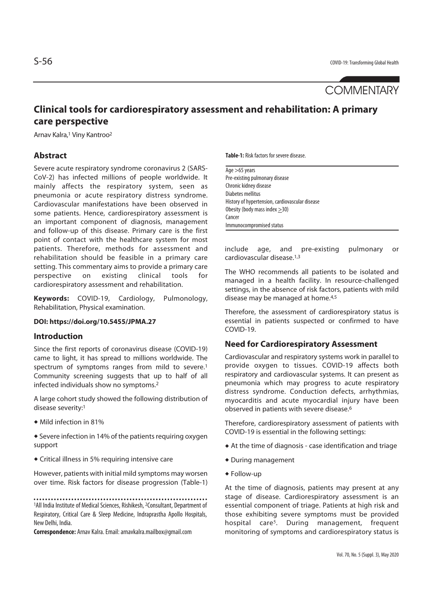# **COMMENTARY**

# **Clinical tools for cardiorespiratory assessment and rehabilitation: A primary care perspective**

Arnav Kalra,1 Viny Kantroo2

# **Abstract**

Severe acute respiratory syndrome coronavirus 2 (SARS-CoV-2) has infected millions of people worldwide. It mainly affects the respiratory system, seen as pneumonia or acute respiratory distress syndrome. Cardiovascular manifestations have been observed in some patients. Hence, cardiorespiratory assessment is an important component of diagnosis, management and follow-up of this disease. Primary care is the first point of contact with the healthcare system for most patients. Therefore, methods for assessment and rehabilitation should be feasible in a primary care setting. This commentary aims to provide a primary care perspective on existing clinical tools for cardiorespiratory assessment and rehabilitation.

**Keywords:** COVID-19, Cardiology, Pulmonology, Rehabilitation, Physical examination.

#### **DOI: https://doi.org/10.5455/JPMA.27**

#### **Introduction**

Since the first reports of coronavirus disease (COVID-19) came to light, it has spread to millions worldwide. The spectrum of symptoms ranges from mild to severe.<sup>1</sup> Community screening suggests that up to half of all infected individuals show no symptoms.2

A large cohort study showed the following distribution of disease severity:1

 $\bullet$  Mild infection in 81%

 $\triangle$  Severe infection in 14% of the patients requiring oxygen support

 $\triangle$  Critical illness in 5% requiring intensive care

However, patients with initial mild symptoms may worsen over time. Risk factors for disease progression (Table-1)

**Correspondence:** Arnav Kalra. Email: arnavkalra.mailbox@gmail.com

**Table-1:** Risk factors for severe disease.

| Age $>65$ years                                 |  |
|-------------------------------------------------|--|
| Pre-existing pulmonary disease                  |  |
| Chronic kidney disease                          |  |
| Diabetes mellitus                               |  |
| History of hypertension, cardiovascular disease |  |
| Obesity (body mass index $>30$ )                |  |
| Cancer                                          |  |
| Immunocompromised status                        |  |

include age, and pre-existing pulmonary or cardiovascular disease.1,3

The WHO recommends all patients to be isolated and managed in a health facility. In resource-challenged settings, in the absence of risk factors, patients with mild disease may be managed at home.<sup>4,5</sup>

Therefore, the assessment of cardiorespiratory status is essential in patients suspected or confirmed to have COVID-19.

#### **Need for Cardiorespiratory Assessment**

Cardiovascular and respiratory systems work in parallel to provide oxygen to tissues. COVID-19 affects both respiratory and cardiovascular systems. It can present as pneumonia which may progress to acute respiratory distress syndrome. Conduction defects, arrhythmias, myocarditis and acute myocardial injury have been observed in patients with severe disease.6

Therefore, cardiorespiratory assessment of patients with COVID-19 is essential in the following settings:

- $\triangle$  At the time of diagnosis case identification and triage
- $\bullet$  During management
- $\triangle$  Follow-up

At the time of diagnosis, patients may present at any stage of disease. Cardiorespiratory assessment is an essential component of triage. Patients at high risk and those exhibiting severe symptoms must be provided hospital care<sup>5</sup>. During management, frequent monitoring of symptoms and cardiorespiratory status is

<sup>1</sup>All India Institute of Medical Sciences, Rishikesh, 2Consultant, Department of Respiratory, Critical Care & Sleep Medicine, Indraprastha Apollo Hospitals, New Delhi, India.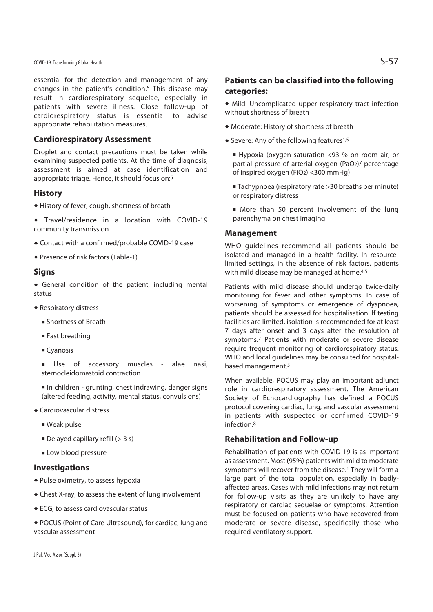COVID-19: Transforming Global Health  $S$ –57

essential for the detection and management of any changes in the patient's condition.5 This disease may result in cardiorespiratory sequelae, especially in patients with severe illness. Close follow-up of cardiorespiratory status is essential to advise appropriate rehabilitation measures.

# **Cardiorespiratory Assessment**

Droplet and contact precautions must be taken while examining suspected patients. At the time of diagnosis, assessment is aimed at case identification and appropriate triage. Hence, it should focus on:5

#### **History**

- $\triangle$  History of fever, cough, shortness of breath
- Travel/residence in a location with COVID-19 community transmission
- Contact with a confirmed/probable COVID-19 case
- Presence of risk factors (Table-1)

#### **Signs**

 $\bullet$  General condition of the patient, including mental status

- $\triangleleft$  Respiratory distress
	- **Exercise Shortness of Breath**
	- Fast breathing
	- Cyanosis

<sup>n</sup> Use of accessory muscles - alae nasi, sternocleidomastoid contraction

- <sup>n</sup> In children grunting, chest indrawing, danger signs (altered feeding, activity, mental status, convulsions)
- Cardiovascular distress
	- Weak pulse
	- $\blacksquare$  Delayed capillary refill (> 3 s)
	- **ELOW blood pressure**

### **Investigations**

- $\bullet$  Pulse oximetry, to assess hypoxia
- $\bullet$  Chest X-ray, to assess the extent of lung involvement
- $\triangleleft$  ECG, to assess cardiovascular status
- POCUS (Point of Care Ultrasound), for cardiac, lung and vascular assessment

# **Patients can be classified into the following categories:**

- $\bullet$  Mild: Uncomplicated upper respiratory tract infection without shortness of breath
- $\bullet$  Moderate: History of shortness of breath
- $\bullet$  Severe: Any of the following features<sup>1,5</sup>
	- Hypoxia (oxygen saturation  $\leq$ 93 % on room air, or partial pressure of arterial oxygen (PaO2)/ percentage of inspired oxygen (FiO2) <300 mmHg)
	- Tachypnoea (respiratory rate >30 breaths per minute) or respiratory distress
	- More than 50 percent involvement of the lung parenchyma on chest imaging

#### **Management**

WHO guidelines recommend all patients should be isolated and managed in a health facility. In resourcelimited settings, in the absence of risk factors, patients with mild disease may be managed at home.<sup>4,5</sup>

Patients with mild disease should undergo twice-daily monitoring for fever and other symptoms. In case of worsening of symptoms or emergence of dyspnoea, patients should be assessed for hospitalisation. If testing facilities are limited, isolation is recommended for at least 7 days after onset and 3 days after the resolution of symptoms.7 Patients with moderate or severe disease require frequent monitoring of cardiorespiratory status. WHO and local guidelines may be consulted for hospitalbased management.5

When available, POCUS may play an important adjunct role in cardiorespiratory assessment. The American Society of Echocardiography has defined a POCUS protocol covering cardiac, lung, and vascular assessment in patients with suspected or confirmed COVID-19 infection.8

# **Rehabilitation and Follow-up**

Rehabilitation of patients with COVID-19 is as important as assessment. Most (95%) patients with mild to moderate symptoms will recover from the disease.<sup>1</sup> They will form a large part of the total population, especially in badlyaffected areas. Cases with mild infections may not return for follow-up visits as they are unlikely to have any respiratory or cardiac sequelae or symptoms. Attention must be focused on patients who have recovered from moderate or severe disease, specifically those who required ventilatory support.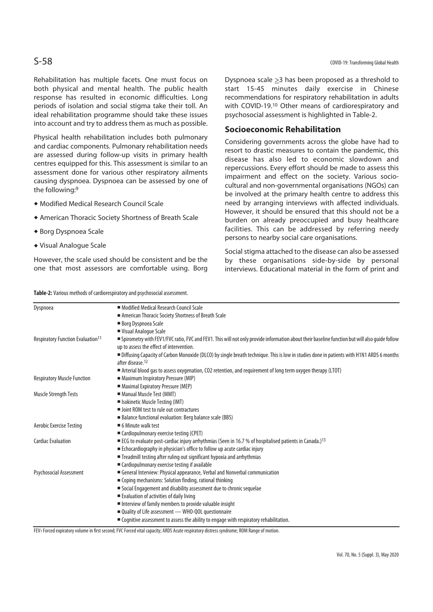Rehabilitation has multiple facets. One must focus on both physical and mental health. The public health response has resulted in economic difficulties. Long periods of isolation and social stigma take their toll. An ideal rehabilitation programme should take these issues into account and try to address them as much as possible.

Physical health rehabilitation includes both pulmonary and cardiac components. Pulmonary rehabilitation needs are assessed during follow-up visits in primary health centres equipped for this. This assessment is similar to an assessment done for various other respiratory ailments causing dyspnoea. Dyspnoea can be assessed by one of the following:9

- $\bullet$  Modified Medical Research Council Scale
- **\* American Thoracic Society Shortness of Breath Scale**
- **\* Borg Dyspnoea Scale**
- ◆ Visual Analogue Scale

However, the scale used should be consistent and be the one that most assessors are comfortable using. Borg

**Table-2:** Various methods of cardiorespiratory and psychosocial assessment.

Dyspnoea scale  $\geq$ 3 has been proposed as a threshold to start 15-45 minutes daily exercise in Chinese recommendations for respiratory rehabilitation in adults with COVID-19.10 Other means of cardiorespiratory and psychosocial assessment is highlighted in Table-2.

### **Socioeconomic Rehabilitation**

Considering governments across the globe have had to resort to drastic measures to contain the pandemic, this disease has also led to economic slowdown and repercussions. Every effort should be made to assess this impairment and effect on the society. Various sociocultural and non-governmental organisations (NGOs) can be involved at the primary health centre to address this need by arranging interviews with affected individuals. However, it should be ensured that this should not be a burden on already preoccupied and busy healthcare facilities. This can be addressed by referring needy persons to nearby social care organisations.

Social stigma attached to the disease can also be assessed by these organisations side-by-side by personal interviews. Educational material in the form of print and

| Dyspnoea                                             | • Modified Medical Research Council Scale                                                                                                                                |
|------------------------------------------------------|--------------------------------------------------------------------------------------------------------------------------------------------------------------------------|
|                                                      | American Thoracic Society Shortness of Breath Scale                                                                                                                      |
|                                                      | <b>Borg Dyspnoea Scale</b>                                                                                                                                               |
|                                                      | Visual Analogue Scale                                                                                                                                                    |
| <b>Respiratory Function Evaluation</b> <sup>11</sup> | ■ Spirometry with FEV1/FVC ratio, FVC and FEV1. This will not only provide information about their baseline function but will also guide follow                          |
|                                                      | up to assess the effect of intervention.                                                                                                                                 |
|                                                      | Diffusing Capacity of Carbon Monoxide (DLCO) by single breath technique. This is low in studies done in patients with H1N1 ARDS 6 months<br>after disease. <sup>12</sup> |
|                                                      | ■ Arterial blood gas to assess oxygenation, CO2 retention, and requirement of long term oxygen therapy (LTOT)                                                            |
| <b>Respiratory Muscle Function</b>                   | • Maximum Inspiratory Pressure (MIP)                                                                                                                                     |
|                                                      | Maximal Expiratory Pressure (MEP)                                                                                                                                        |
| <b>Muscle Strength Tests</b>                         | • Manual Muscle Test (MMT)                                                                                                                                               |
|                                                      | Isokinetic Muscle Testing (IMT)                                                                                                                                          |
|                                                      | I Joint ROM test to rule out contractures                                                                                                                                |
|                                                      | ■ Balance functional evaluation: Berg balance scale (BBS)                                                                                                                |
| Aerobic Exercise Testing                             | $\blacksquare$ 6 Minute walk test                                                                                                                                        |
|                                                      | ■ Cardiopulmonary exercise testing (CPET)                                                                                                                                |
| <b>Cardiac Evaluation</b>                            | ■ ECG to evaluate post-cardiac injury arrhythmias (Seen in 16.7 % of hospitalised patients in Canada.) <sup>13</sup>                                                     |
|                                                      | Echocardiography in physician's office to follow up acute cardiac injury                                                                                                 |
|                                                      | Treadmill testing after ruling out significant hypoxia and arrhythmias                                                                                                   |
|                                                      | ■ Cardiopulmonary exercise testing if available                                                                                                                          |
| <b>Psychosocial Assessment</b>                       | General Interview: Physical appearance, Verbal and Nonverbal communication                                                                                               |
|                                                      | " Coping mechanisms: Solution finding, rational thinking                                                                                                                 |
|                                                      | Social Engagement and disability assessment due to chronic sequelae                                                                                                      |
|                                                      | Evaluation of activities of daily living                                                                                                                                 |
|                                                      | Interview of family members to provide valuable insight                                                                                                                  |
|                                                      | ■ Quality of Life assessment — WHO-QOL questionnaire                                                                                                                     |
|                                                      | ■ Cognitive assessment to assess the ability to engage with respiratory rehabilitation.                                                                                  |

FEV1 Forced expiratory volume in first second; FVC Forced vital capacity; ARDS Acute respiratory distress syndrome; ROM Range of motion.